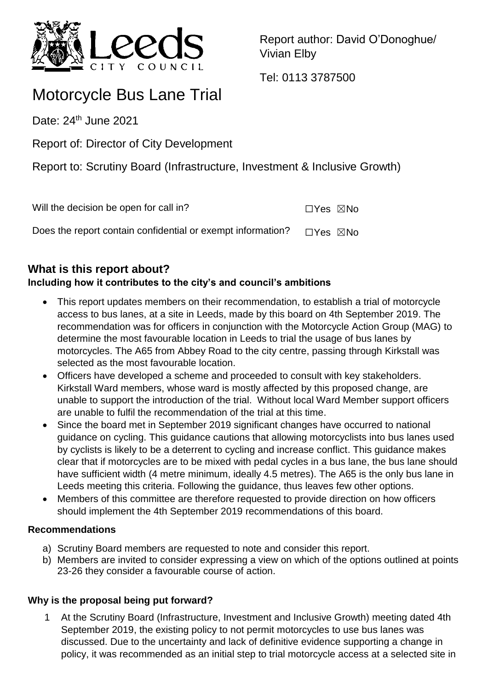

Report author: David O'Donoghue/ Vivian Elby

Tel: 0113 3787500

# Motorcycle Bus Lane Trial

Date: 24<sup>th</sup> June 2021

Report of: Director of City Development

Report to: Scrutiny Board (Infrastructure, Investment & Inclusive Growth)

| Will the decision be open for call in?                      | $\Box$ Yes $\boxtimes$ No |  |
|-------------------------------------------------------------|---------------------------|--|
| Does the report contain confidential or exempt information? | □Yes ⊠No                  |  |

# **What is this report about?**

# **Including how it contributes to the city's and council's ambitions**

- This report updates members on their recommendation, to establish a trial of motorcycle access to bus lanes, at a site in Leeds, made by this board on 4th September 2019. The recommendation was for officers in conjunction with the Motorcycle Action Group (MAG) to determine the most favourable location in Leeds to trial the usage of bus lanes by motorcycles. The A65 from Abbey Road to the city centre, passing through Kirkstall was selected as the most favourable location.
- Officers have developed a scheme and proceeded to consult with key stakeholders. Kirkstall Ward members, whose ward is mostly affected by this proposed change, are unable to support the introduction of the trial. Without local Ward Member support officers are unable to fulfil the recommendation of the trial at this time.
- Since the board met in September 2019 significant changes have occurred to national guidance on cycling. This guidance cautions that allowing motorcyclists into bus lanes used by cyclists is likely to be a deterrent to cycling and increase conflict. This guidance makes clear that if motorcycles are to be mixed with pedal cycles in a bus lane, the bus lane should have sufficient width (4 metre minimum, ideally 4.5 metres). The A65 is the only bus lane in Leeds meeting this criteria. Following the guidance, thus leaves few other options.
- Members of this committee are therefore requested to provide direction on how officers should implement the 4th September 2019 recommendations of this board.

### **Recommendations**

- a) Scrutiny Board members are requested to note and consider this report.
- b) Members are invited to consider expressing a view on which of the options outlined at points 23-26 they consider a favourable course of action.

# **Why is the proposal being put forward?**

At the Scrutiny Board (Infrastructure, Investment and Inclusive Growth) meeting dated 4th September 2019, the existing policy to not permit motorcycles to use bus lanes was discussed. Due to the uncertainty and lack of definitive evidence supporting a change in policy, it was recommended as an initial step to trial motorcycle access at a selected site in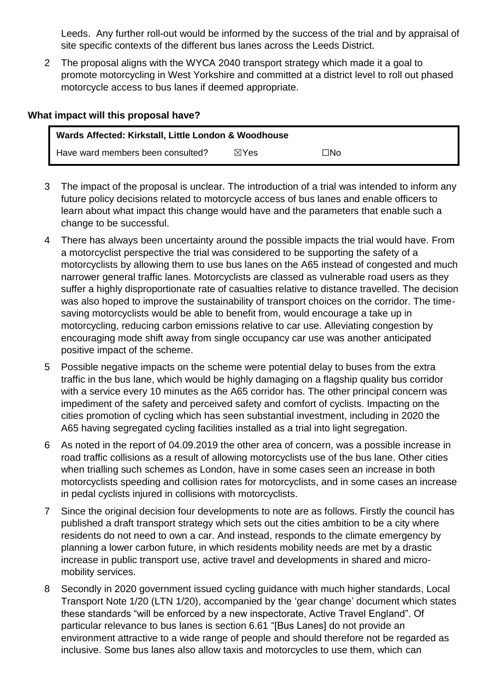Leeds. Any further roll-out would be informed by the success of the trial and by appraisal of site specific contexts of the different bus lanes across the Leeds District.

2 The proposal aligns with the WYCA 2040 transport strategy which made it a goal to promote motorcycling in West Yorkshire and committed at a district level to roll out phased motorcycle access to bus lanes if deemed appropriate.

#### **What impact will this proposal have?**

| Wards Affected: Kirkstall, Little London & Woodhouse |                 |     |  |
|------------------------------------------------------|-----------------|-----|--|
| Have ward members been consulted?                    | $\boxtimes$ Yes | ⊡No |  |

- 3 The impact of the proposal is unclear. The introduction of a trial was intended to inform any future policy decisions related to motorcycle access of bus lanes and enable officers to learn about what impact this change would have and the parameters that enable such a change to be successful.
- 4 There has always been uncertainty around the possible impacts the trial would have. From a motorcyclist perspective the trial was considered to be supporting the safety of a motorcyclists by allowing them to use bus lanes on the A65 instead of congested and much narrower general traffic lanes. Motorcyclists are classed as vulnerable road users as they suffer a highly disproportionate rate of casualties relative to distance travelled. The decision was also hoped to improve the sustainability of transport choices on the corridor. The timesaving motorcyclists would be able to benefit from, would encourage a take up in motorcycling, reducing carbon emissions relative to car use. Alleviating congestion by encouraging mode shift away from single occupancy car use was another anticipated positive impact of the scheme.
- 5 Possible negative impacts on the scheme were potential delay to buses from the extra traffic in the bus lane, which would be highly damaging on a flagship quality bus corridor with a service every 10 minutes as the A65 corridor has. The other principal concern was impediment of the safety and perceived safety and comfort of cyclists. Impacting on the cities promotion of cycling which has seen substantial investment, including in 2020 the A65 having segregated cycling facilities installed as a trial into light segregation.
- 6 As noted in the report of 04.09.2019 the other area of concern, was a possible increase in road traffic collisions as a result of allowing motorcyclists use of the bus lane. Other cities when trialling such schemes as London, have in some cases seen an increase in both motorcyclists speeding and collision rates for motorcyclists, and in some cases an increase in pedal cyclists injured in collisions with motorcyclists.
- 7 Since the original decision four developments to note are as follows. Firstly the council has published a draft transport strategy which sets out the cities ambition to be a city where residents do not need to own a car. And instead, responds to the climate emergency by planning a lower carbon future, in which residents mobility needs are met by a drastic increase in public transport use, active travel and developments in shared and micromobility services.
- 8 Secondly in 2020 government issued cycling guidance with much higher standards, Local Transport Note 1/20 (LTN 1/20), accompanied by the 'gear change' document which states these standards "will be enforced by a new inspectorate, Active Travel England". Of particular relevance to bus lanes is section 6.61 "[Bus Lanes] do not provide an environment attractive to a wide range of people and should therefore not be regarded as inclusive. Some bus lanes also allow taxis and motorcycles to use them, which can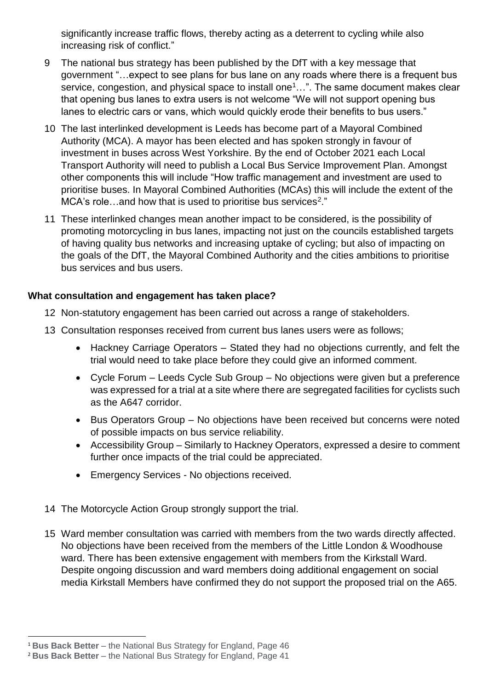significantly increase traffic flows, thereby acting as a deterrent to cycling while also increasing risk of conflict."

- 9 The national bus strategy has been published by the DfT with a key message that government "…expect to see plans for bus lane on any roads where there is a frequent bus service, congestion, and physical space to install one<sup>1</sup>...". The same document makes clear that opening bus lanes to extra users is not welcome "We will not support opening bus lanes to electric cars or vans, which would quickly erode their benefits to bus users."
- 10 The last interlinked development is Leeds has become part of a Mayoral Combined Authority (MCA). A mayor has been elected and has spoken strongly in favour of investment in buses across West Yorkshire. By the end of October 2021 each Local Transport Authority will need to publish a Local Bus Service Improvement Plan. Amongst other components this will include "How traffic management and investment are used to prioritise buses. In Mayoral Combined Authorities (MCAs) this will include the extent of the MCA's role...and how that is used to prioritise bus services<sup>2</sup>."
- 11 These interlinked changes mean another impact to be considered, is the possibility of promoting motorcycling in bus lanes, impacting not just on the councils established targets of having quality bus networks and increasing uptake of cycling; but also of impacting on the goals of the DfT, the Mayoral Combined Authority and the cities ambitions to prioritise bus services and bus users.

### **What consultation and engagement has taken place?**

- 12 Non-statutory engagement has been carried out across a range of stakeholders.
- 13 Consultation responses received from current bus lanes users were as follows;
	- Hackney Carriage Operators Stated they had no objections currently, and felt the trial would need to take place before they could give an informed comment.
	- Cycle Forum Leeds Cycle Sub Group No objections were given but a preference was expressed for a trial at a site where there are segregated facilities for cyclists such as the A647 corridor.
	- Bus Operators Group No objections have been received but concerns were noted of possible impacts on bus service reliability.
	- Accessibility Group Similarly to Hackney Operators, expressed a desire to comment further once impacts of the trial could be appreciated.
	- Emergency Services No objections received.
- 14 The Motorcycle Action Group strongly support the trial.
- 15 Ward member consultation was carried with members from the two wards directly affected. No objections have been received from the members of the Little London & Woodhouse ward. There has been extensive engagement with members from the Kirkstall Ward. Despite ongoing discussion and ward members doing additional engagement on social media Kirkstall Members have confirmed they do not support the proposed trial on the A65.

 $\overline{a}$ <sup>1</sup> **Bus Back Better** – the National Bus Strategy for England, Page 46

<sup>2</sup> **Bus Back Better** – the National Bus Strategy for England, Page 41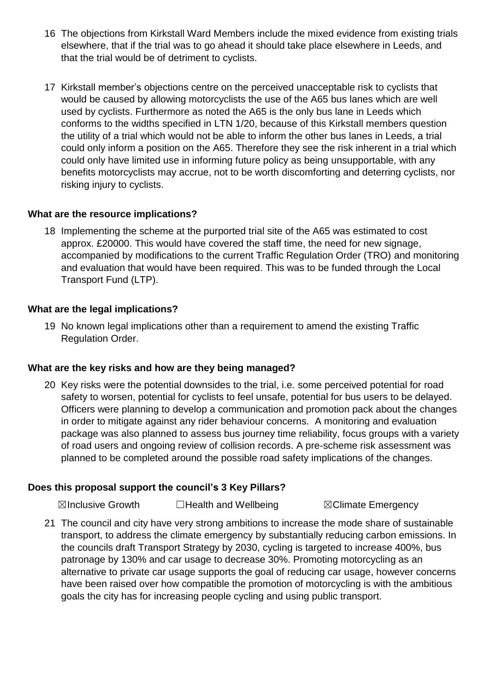- 16 The objections from Kirkstall Ward Members include the mixed evidence from existing trials elsewhere, that if the trial was to go ahead it should take place elsewhere in Leeds, and that the trial would be of detriment to cyclists.
- 17 Kirkstall member's objections centre on the perceived unacceptable risk to cyclists that would be caused by allowing motorcyclists the use of the A65 bus lanes which are well used by cyclists. Furthermore as noted the A65 is the only bus lane in Leeds which conforms to the widths specified in LTN 1/20, because of this Kirkstall members question the utility of a trial which would not be able to inform the other bus lanes in Leeds, a trial could only inform a position on the A65. Therefore they see the risk inherent in a trial which could only have limited use in informing future policy as being unsupportable, with any benefits motorcyclists may accrue, not to be worth discomforting and deterring cyclists, nor risking injury to cyclists.

### **What are the resource implications?**

18 Implementing the scheme at the purported trial site of the A65 was estimated to cost approx. £20000. This would have covered the staff time, the need for new signage, accompanied by modifications to the current Traffic Regulation Order (TRO) and monitoring and evaluation that would have been required. This was to be funded through the Local Transport Fund (LTP).

#### **What are the legal implications?**

19 No known legal implications other than a requirement to amend the existing Traffic Regulation Order.

#### **What are the key risks and how are they being managed?**

20 Key risks were the potential downsides to the trial, i.e. some perceived potential for road safety to worsen, potential for cyclists to feel unsafe, potential for bus users to be delayed. Officers were planning to develop a communication and promotion pack about the changes in order to mitigate against any rider behaviour concerns. A monitoring and evaluation package was also planned to assess bus journey time reliability, focus groups with a variety of road users and ongoing review of collision records. A pre-scheme risk assessment was planned to be completed around the possible road safety implications of the changes.

### **Does this proposal support the council's 3 Key Pillars?**

**⊠Inclusive Growth □Health and Wellbeing ■ ⊠Climate Emergency** 

21 The council and city have very strong ambitions to increase the mode share of sustainable transport, to address the climate emergency by substantially reducing carbon emissions. In the councils draft Transport Strategy by 2030, cycling is targeted to increase 400%, bus patronage by 130% and car usage to decrease 30%. Promoting motorcycling as an alternative to private car usage supports the goal of reducing car usage, however concerns have been raised over how compatible the promotion of motorcycling is with the ambitious goals the city has for increasing people cycling and using public transport.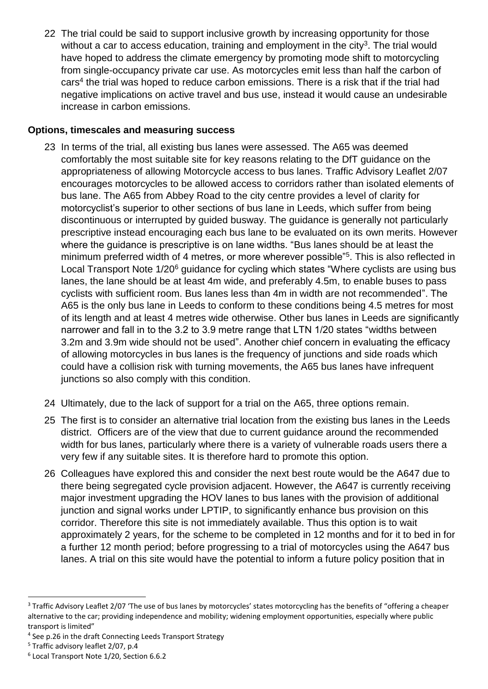22 The trial could be said to support inclusive growth by increasing opportunity for those without a car to access education, training and employment in the city<sup>3</sup>. The trial would have hoped to address the climate emergency by promoting mode shift to motorcycling from single-occupancy private car use. As motorcycles emit less than half the carbon of cars<sup>4</sup> the trial was hoped to reduce carbon emissions. There is a risk that if the trial had negative implications on active travel and bus use, instead it would cause an undesirable increase in carbon emissions.

#### **Options, timescales and measuring success**

- 23 In terms of the trial, all existing bus lanes were assessed. The A65 was deemed comfortably the most suitable site for key reasons relating to the DfT guidance on the appropriateness of allowing Motorcycle access to bus lanes. Traffic Advisory Leaflet 2/07 encourages motorcycles to be allowed access to corridors rather than isolated elements of bus lane. The A65 from Abbey Road to the city centre provides a level of clarity for motorcyclist's superior to other sections of bus lane in Leeds, which suffer from being discontinuous or interrupted by guided busway. The guidance is generally not particularly prescriptive instead encouraging each bus lane to be evaluated on its own merits. However where the guidance is prescriptive is on lane widths. "Bus lanes should be at least the minimum preferred width of 4 metres, or more wherever possible<sup>"5</sup>. This is also reflected in Local Transport Note 1/20<sup>6</sup> guidance for cycling which states "Where cyclists are using bus lanes, the lane should be at least 4m wide, and preferably 4.5m, to enable buses to pass cyclists with sufficient room. Bus lanes less than 4m in width are not recommended". The A65 is the only bus lane in Leeds to conform to these conditions being 4.5 metres for most of its length and at least 4 metres wide otherwise. Other bus lanes in Leeds are significantly narrower and fall in to the 3.2 to 3.9 metre range that LTN 1/20 states "widths between 3.2m and 3.9m wide should not be used". Another chief concern in evaluating the efficacy of allowing motorcycles in bus lanes is the frequency of junctions and side roads which could have a collision risk with turning movements, the A65 bus lanes have infrequent junctions so also comply with this condition.
- 24 Ultimately, due to the lack of support for a trial on the A65, three options remain.
- 25 The first is to consider an alternative trial location from the existing bus lanes in the Leeds district. Officers are of the view that due to current guidance around the recommended width for bus lanes, particularly where there is a variety of vulnerable roads users there a very few if any suitable sites. It is therefore hard to promote this option.
- 26 Colleagues have explored this and consider the next best route would be the A647 due to there being segregated cycle provision adjacent. However, the A647 is currently receiving major investment upgrading the HOV lanes to bus lanes with the provision of additional junction and signal works under LPTIP, to significantly enhance bus provision on this corridor. Therefore this site is not immediately available. Thus this option is to wait approximately 2 years, for the scheme to be completed in 12 months and for it to bed in for a further 12 month period; before progressing to a trial of motorcycles using the A647 bus lanes. A trial on this site would have the potential to inform a future policy position that in

 $\overline{a}$ 

<sup>&</sup>lt;sup>3</sup> Traffic Advisory Leaflet 2/07 'The use of bus lanes by motorcycles' states motorcycling has the benefits of "offering a cheaper alternative to the car; providing independence and mobility; widening employment opportunities, especially where public transport is limited"

<sup>4</sup> See p.26 in the draft Connecting Leeds Transport Strategy

<sup>&</sup>lt;sup>5</sup> Traffic advisory leaflet 2/07, p.4

<sup>6</sup> Local Transport Note 1/20, Section 6.6.2